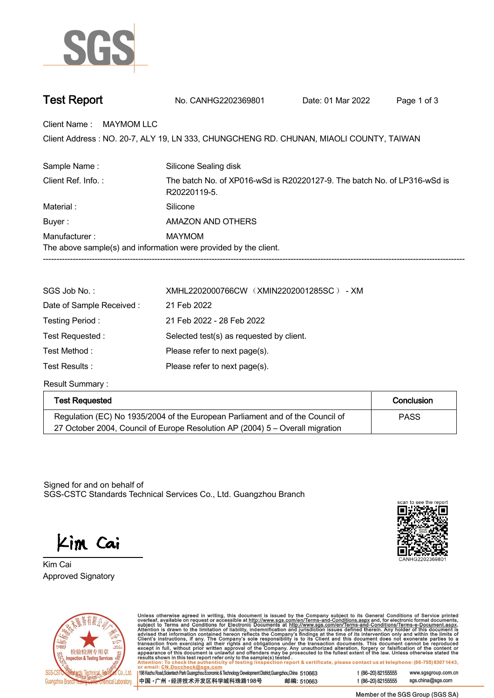

| <b>Test Report</b> |  |
|--------------------|--|
|--------------------|--|

| No. CANHG2202369801 | Date: 01 Mar 2022 | Page 1 of 3 |
|---------------------|-------------------|-------------|
|                     |                   |             |

**Client Name : MAYMOM LLC.**

Client Address : NO. 20-7, ALY 19, LN 333, CHUNGCHENG RD. CHUNAN, MIAOLI COUNTY, TAIWAN<br>.

| Sample Name:                                                                                                   | Silicone Sealing disk |  |  |  |
|----------------------------------------------------------------------------------------------------------------|-----------------------|--|--|--|
| Client Ref. Info.:<br>The batch No. of XP016-wSd is R20220127-9. The batch No. of LP316-wSd is<br>R20220119-5. |                       |  |  |  |
| Material:                                                                                                      | Silicone              |  |  |  |
| Buyer:                                                                                                         | AMAZON AND OTHERS     |  |  |  |
| Manufacturer:                                                                                                  | MAYMOM                |  |  |  |
| The above sample(s) and information were provided by the client.                                               |                       |  |  |  |
|                                                                                                                |                       |  |  |  |

| SGS Job No.:             | XMHL2202000766CW (XMIN2202001285SC) - XM |  |  |
|--------------------------|------------------------------------------|--|--|
| Date of Sample Received: | 21 Feb 2022                              |  |  |
| Testing Period:          | 21 Feb 2022 - 28 Feb 2022                |  |  |
| Test Requested :         | Selected test(s) as requested by client. |  |  |
| Test Method:             | Please refer to next page(s).            |  |  |
| Test Results :           | Please refer to next page(s).            |  |  |

**Result Summary :.**

| <b>Test Requested</b>                                                         | Conclusion  |
|-------------------------------------------------------------------------------|-------------|
| Regulation (EC) No 1935/2004 of the European Parliament and of the Council of | <b>PASS</b> |
| 27 October 2004, Council of Europe Resolution AP (2004) 5 – Overall migration |             |

Signed for and on behalf of SGS-CSTC Standards Technical Services Co., Ltd. Guangzhou Branch.

Kim Cai

**Approved Signatory . . . Kim Cai.**





Unless otherwise agreed in writing, this document is issued by the Company subject to its General Conditions of Service printed overleaf, available on request or accessible at http://www.sgs.com/en/Terms-and-Conditions.as

198 Kezhu Road, Scientech Park Guangzhou Economic & Technology Development District, Guangzhou, China 510663 中国·广州·经济技术开发区科学城科珠路198号 邮编: 510663 t (86-20) 82155555 www.sgsgroup.com.cn sgs.china@sgs.com t (86-20) 82155555

Member of the SGS Group (SGS SA)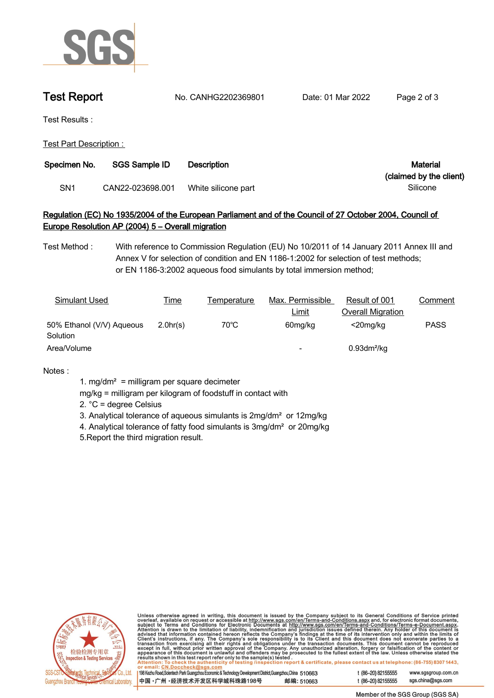

**Test Report. No. CANHG2202369801 . Date: 01 Mar 2022 . Page 2 of 3.**

**Test Results :.**

**Test Part Description : .**

| Specimen No.<br><b>SGS Sample ID</b> |                  | <b>Description</b>  | Material                |
|--------------------------------------|------------------|---------------------|-------------------------|
|                                      |                  |                     | (claimed by the client) |
| SN1                                  | CAN22-023698.001 | White silicone part | Silicone                |

## **Regulation (EC) No 1935/2004 of the European Parliament and of the Council of 27 October 2004, Council of Europe Resolution AP (2004) 5 – Overall migration.**

**Test Method :. With reference to Commission Regulation (EU) No 10/2011 of 14 January 2011 Annex III and Annex V for selection of condition and EN 1186-1:2002 for selection of test methods; or EN 1186-3:2002 aqueous food simulants by total immersion method;**

| Simulant Used                         | <u>Time</u> | Temperature    | Max. Permissible | Result of 001              | Comment     |
|---------------------------------------|-------------|----------------|------------------|----------------------------|-------------|
|                                       |             |                | <b>Limit</b>     | <b>Overall Migration</b>   |             |
| 50% Ethanol (V/V) Aqueous<br>Solution | 2.0hr(s)    | $70^{\circ}$ C | 60mg/kg          | $<$ 20mg/kg                | <b>PASS</b> |
| Area/Volume                           |             |                | -                | $0.93$ dm <sup>2</sup> /kg |             |

**Notes :.**

- **1. mg/dm² = milligram per square decimeter**
- **mg/kg = milligram per kilogram of foodstuff in contact with**
- **2. °C = degree Celsius**
- **3. Analytical tolerance of aqueous simulants is 2mg/dm² or 12mg/kg**
- **4. Analytical tolerance of fatty food simulants is 3mg/dm² or 20mg/kg**
- **5.Report the third migration result. .**



Unless otherwise agreed in writing, this document is issued by the Company subject to its General Conditions of Service printed overleaf, available on request or accessible at http://www.sgs.com/en/Terms-and-Conditions.as

198 Kezhu Road, Scientech Park Guangzhou Economic & Technology Development District, Guangzhou, China 510663 中国·广州·经济技术开发区科学城科珠路198号 邮编: 510663

t (86-20) 82155555 sgs.china@sgs.com

www.sgsgroup.com.cn

t (86-20) 82155555